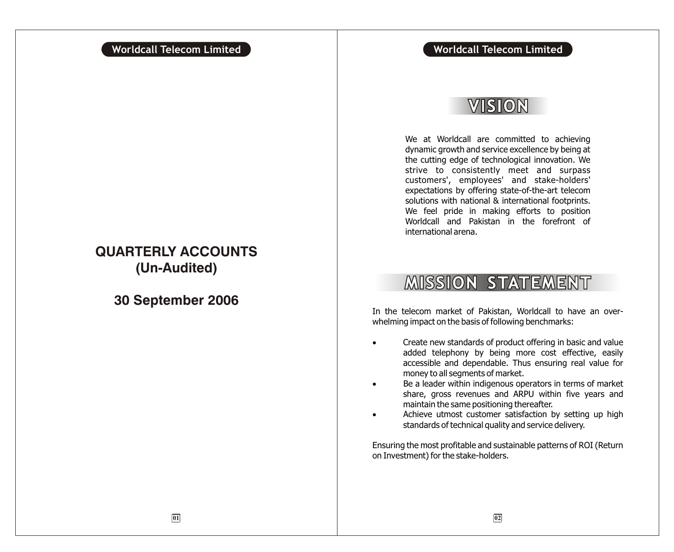### **Worldcall Telecom Limited Worldcall Telecom Limited**

## VISION

We at Worldcall are committed to achieving dynamic growth and service excellence by being at the cutting edge of technological innovation. We strive to consistently meet and surpass customers', employees' and stake-holders' expectations by offering state-of-the-art telecom solutions with national & international footprints. We feel pride in making efforts to position Worldcall and Pakistan in the forefront of international arena.

## **MISSION STATEMENT**

In the telecom market of Pakistan, Worldcall to have an overwhelming impact on the basis of following benchmarks:

> Create new standards of product offering in basic and value added telephony by being more cost effective, easily accessible and dependable. Thus ensuring real value for money to all segments of market.

> Be a leader within indigenous operators in terms of market share, gross revenues and ARPU within five years and maintain the same positioning thereafter.

> Achieve utmost customer satisfaction by setting up high standards of technical quality and service delivery.

Ensuring the most profitable and sustainable patterns of ROI (Return on Investment) for the stake-holders.

## **QUARTERLY ACCOUNTS (Un-Audited)**

**30 September 2006**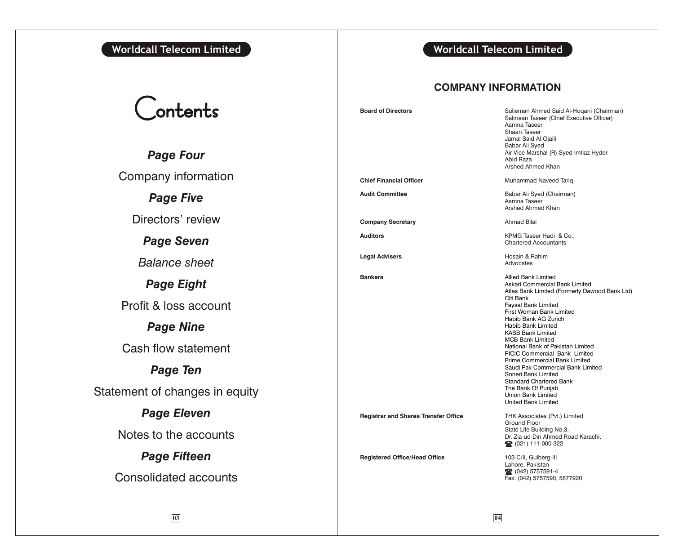### **Worldcall Telecom Limited Worldcall Telecom Limited**

# Contents

*Page Four* Company information *Page Five* Directors' review *Page Seven Balance sheet*

## *Page Eight*

Profit & loss account

## *Page Nine*

Cash flow statement

## *Page Ten*

Statement of changes in equity

## *Page Eleven*

Notes to the accounts

### *Page Fifteen*

Consolidated accounts

### **COMPANY INFORMATION**

**Board of Directors Sulieman Ahmed Said Al-Hoqani (Chairman)** 

**Bankers**

Salmaan Taseer (Chief Executive Officer) Aamna Taseer Shaan Taseer Jamal Said Al-Ojaili Babar Ali Syed Air Vice Marshal (R) Syed Imtiaz Hyder Abid Raza Arshed Ahmed Khan **Chief Financial Officer** Muhammad Naveed Tariq **Audit Committee Audit Committee Babar Ali Syed (Chairman)** Aamna Taseer Arshed Ahmed Khan **Company Secretary Ahmad Bilal Auditors** KPMG Taseer Hadi & Co., Chartered Accountants **Legal Advisers Hosain & Rahim** Advocates **Registrar and Shares Transfer Office THK Associates (Pvt.) Limited** Ground Floor State Life Building No.3, Dr. Zia-ud-Din Ahmed Road Karachi. 111-000-322 Allied Bank Limited Askari Commercial Bank Limited Atlas Bank Limited (Formerly Dawood Bank Ltd) Citi Bank Faysal Bank Limited First Woman Bank Limited Habib Bank AG Zurich Habib Bank Limited KASB Bank Limited MCB Bank Limited National Bank of Pakistan Limited PICIC Commercial Bank Limited Prime Commercial Bank Limited Saudi Pak Commercial Bank Limited Soneri Bank Limited Standard Chartered Bank The Bank Of Punjab Union Bank Limited United Bank Limited

**Registered Office/Head Office** 103-C/II, Gulberg-III Lahore, Pakistan 16 (042) 5757591-4 Fax: (042) 5757590, 5877920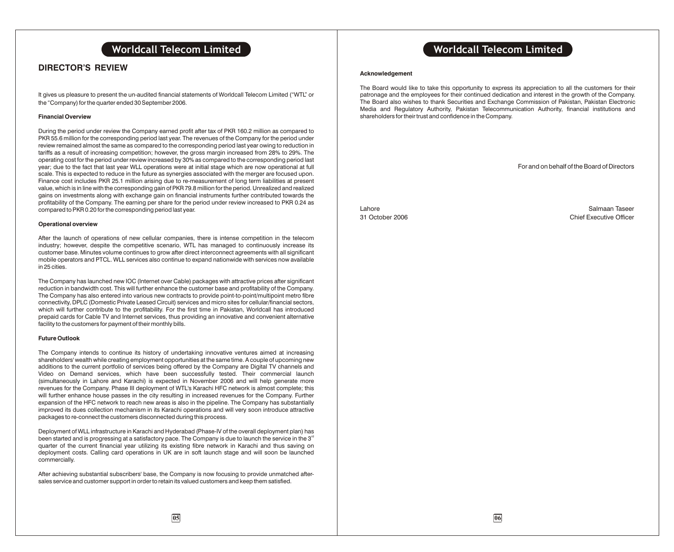### **DIRECTOR'S REVIEW**

It gives us pleasure to present the un-audited financial statements of Worldcall Telecom Limited ("WTL" or the "Company) for the quarter ended 30 September 2006.

### **Financial Overview**

During the period under review the Company earned profit after tax of PKR 160.2 million as compared to PKR 55.6 million for the corresponding period last year. The revenues of the Company for the period under review remained almost the same as compared to the corresponding period last year owing to reduction in tariffs as a result of increasing competition; however, the gross margin increased from 28% to 29%. The operating cost for the period under review increased by 30% as compared to the corresponding period last year; due to the fact that last year WLL operations were at initial stage which are now operational at full scale. This is expected to reduce in the future as synergies associated with the merger are focused upon. Finance cost includes PKR 25.1 million arising due to re-measurement of long term liabilities at present value, which is in line with the corresponding gain of PKR 79.8 million for the period. Unrealized and realized gains on investments along with exchange gain on financial instruments further contributed towards the profitability of the Company. The earning per share for the period under review increased to PKR 0.24 as compared to PKR 0.20 for the corresponding period last year.

#### **Operational overview**

After the launch of operations of new cellular companies, there is intense competition in the telecom industry; however, despite the competitive scenario, WTL has managed to continuously increase its customer base. Minutes volume continues to grow after direct interconnect agreements with all significant mobile operators and PTCL. WLL services also continue to expand nationwide with services now available in 25 cities.

The Company has launched new IOC (Internet over Cable) packages with attractive prices after significant reduction in bandwidth cost. This will further enhance the customer base and profitability of the Company. The Company has also entered into various new contracts to provide point-to-point/multipoint metro fibre connectivity, DPLC (Domestic Private Leased Circuit) services and micro sites for cellular/financial sectors, which will further contribute to the profitability. For the first time in Pakistan, Worldcall has introduced prepaid cards for Cable TV and Internet services, thus providing an innovative and convenient alternative facility to the customers for payment of their monthly bills.

#### **Future Outlook**

The Company intends to continue its history of undertaking innovative ventures aimed at increasing shareholders' wealth while creating employment opportunities at the same time. A couple of upcoming new additions to the current portfolio of services being offered by the Company are Digital TV channels and Video on Demand services, which have been successfully tested. Their commercial launch (simultaneously in Lahore and Karachi) is expected in November 2006 and will help generate more revenues for the Company. Phase III deployment of WTL's Karachi HFC network is almost complete; this will further enhance house passes in the city resulting in increased revenues for the Company. Further expansion of the HFC network to reach new areas is also in the pipeline. The Company has substantially improved its dues collection mechanism in its Karachi operations and will very soon introduce attractive packages to re-connect the customers disconnected during this process.

Deployment of WLL infrastructure in Karachi and Hyderabad (Phase-IV of the overall deployment plan) has been started and is progressing at a satisfactory pace. The Company is due to launch the service in the  $3<sup>rd</sup>$ quarter of the current financial year utilizing its existing fibre network in Karachi and thus saving on deployment costs. Calling card operations in UK are in soft launch stage and will soon be launched commercially.

After achieving substantial subscribers' base, the Company is now focusing to provide unmatched aftersales service and customer support in order to retain its valued customers and keep them satisfied.

### **Worldcall Telecom Limited Worldcall Telecom Limited**

#### **Acknowledgement**

The Board would like to take this opportunity to express its appreciation to all the customers for their patronage and the employees for their continued dedication and interest in the growth of the Company. The Board also wishes to thank Securities and Exchange Commission of Pakistan, Pakistan Electronic Media and Regulatory Authority, Pakistan Telecommunication Authority, financial institutions and shareholders for their trust and confidence in the Company.

For and on behalf of the Board of Directors

Lahore Salmaan Taseer 31 October 2006 Chief Executive Officer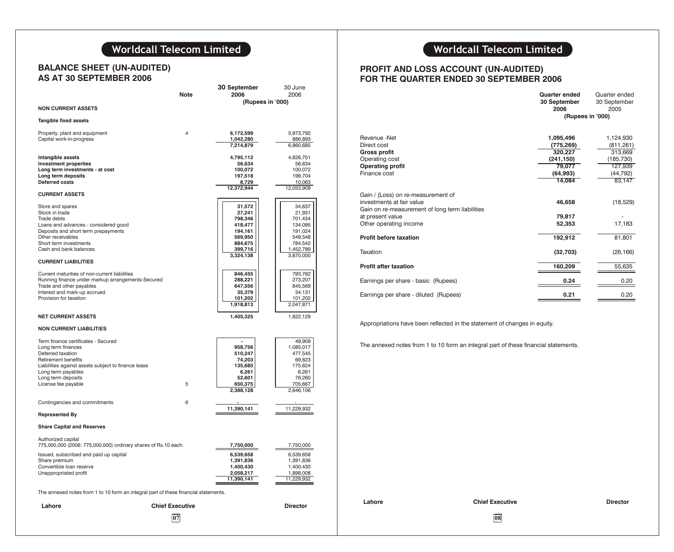## **Worldcall Telecom Limited Worldcall Telecom Limited**

### **BALANCE SHEET (UN-AUDITED) AS AT 30 SEPTEMBER 2006**

|                                                                                                                                                                                                                                                                                                                                                                                                                                                          | Note                   | 30 September<br>2006<br>(Rupees in '000)                                                                                                                                       | 30 June<br>2006                                                                                                                                                                   |                                                                                                                                                                                                                                                                                                                                   |
|----------------------------------------------------------------------------------------------------------------------------------------------------------------------------------------------------------------------------------------------------------------------------------------------------------------------------------------------------------------------------------------------------------------------------------------------------------|------------------------|--------------------------------------------------------------------------------------------------------------------------------------------------------------------------------|-----------------------------------------------------------------------------------------------------------------------------------------------------------------------------------|-----------------------------------------------------------------------------------------------------------------------------------------------------------------------------------------------------------------------------------------------------------------------------------------------------------------------------------|
| <b>NON CURRENT ASSETS</b>                                                                                                                                                                                                                                                                                                                                                                                                                                |                        |                                                                                                                                                                                |                                                                                                                                                                                   |                                                                                                                                                                                                                                                                                                                                   |
| Tangible fixed assets                                                                                                                                                                                                                                                                                                                                                                                                                                    |                        |                                                                                                                                                                                |                                                                                                                                                                                   |                                                                                                                                                                                                                                                                                                                                   |
| Property, plant and equipment<br>Capital work-in-progress                                                                                                                                                                                                                                                                                                                                                                                                | 4                      | 6,172,599<br>1,042,280<br>7,214,879                                                                                                                                            | 5,973,792<br>886,893<br>6,860,685                                                                                                                                                 | Revenue -Net<br>Direct cost                                                                                                                                                                                                                                                                                                       |
| Intangible assets<br><b>Investment properties</b><br>Long term investments - at cost<br>Long term deposits<br><b>Deferred costs</b><br><b>CURRENT ASSETS</b><br>Store and spares<br>Stock in trade<br>Trade debts<br>Loans and advances - considered good<br>Deposits and short term prepayments<br>Other receivables<br>Short term investments<br>Cash and bank balances<br><b>CURRENT LIABILITIES</b><br>Current maturities of non-current liabilities |                        | 4,795,112<br>56,634<br>100,072<br>197,518<br>8,729<br>12,372,944<br>31,572<br>27,241<br>798,346<br>418,477<br>194,161<br>569,950<br>884,675<br>399,716<br>3,324,138<br>846,455 | 4,826,751<br>56,634<br>100,072<br>199,704<br>10,063<br>12,053,909<br>34,637<br>21,931<br>701,434<br>134,095<br>191,024<br>549,548<br>784,542<br>1,452,789<br>3,870,000<br>793,762 | <b>Gross profit</b><br>Operating cost<br><b>Operating profit</b><br>Finance cost<br>Gain / (Loss) on re-measurement of<br>investments at fair value<br>Gain on re-measurement of long term liabilities<br>at present value<br>Other operating income<br><b>Profit before taxation</b><br>Taxation<br><b>Profit after taxation</b> |
| Running finance under markup arrangements-Secured<br>Trade and other payables<br>Interest and mark-up accrued<br>Provision for taxation                                                                                                                                                                                                                                                                                                                  |                        | 288,221<br>647,556<br>35,379<br>101,202<br>1,918,813                                                                                                                           | 273,207<br>845,569<br>34,131<br>101,202<br>2,047,871                                                                                                                              | Earnings per share - basic (Rupees)<br>Earnings per share - diluted (Rupees)                                                                                                                                                                                                                                                      |
| <b>NET CURRENT ASSETS</b>                                                                                                                                                                                                                                                                                                                                                                                                                                |                        | 1,405,325                                                                                                                                                                      | 1,822,129                                                                                                                                                                         |                                                                                                                                                                                                                                                                                                                                   |
| <b>NON CURRENT LIABILITIES</b>                                                                                                                                                                                                                                                                                                                                                                                                                           |                        |                                                                                                                                                                                |                                                                                                                                                                                   | Appropriations have been reflected in the statement of                                                                                                                                                                                                                                                                            |
| Term finance certificates - Secured<br>Long term finances<br>Deferred taxation<br><b>Retirement benefits</b><br>Liabilities against assets subject to finance lease<br>Long term payables<br>Long term deposits<br>License fee payable                                                                                                                                                                                                                   | 5                      | $\overline{a}$<br>958,756<br>510,247<br>74,203<br>135,685<br>6,261<br>52,601<br>650,375<br>2,388,128                                                                           | 49,909<br>1,085,017<br>477,545<br>69,823<br>175,624<br>6,261<br>76,260<br>705,667<br>2,646,106                                                                                    | The annexed notes from 1 to 10 form an integral part                                                                                                                                                                                                                                                                              |
| Contingencies and commitments                                                                                                                                                                                                                                                                                                                                                                                                                            | 6                      |                                                                                                                                                                                |                                                                                                                                                                                   |                                                                                                                                                                                                                                                                                                                                   |
| <b>Represented By</b>                                                                                                                                                                                                                                                                                                                                                                                                                                    |                        | 11,390,141                                                                                                                                                                     | 11,229,932                                                                                                                                                                        |                                                                                                                                                                                                                                                                                                                                   |
| <b>Share Capital and Reserves</b>                                                                                                                                                                                                                                                                                                                                                                                                                        |                        |                                                                                                                                                                                |                                                                                                                                                                                   |                                                                                                                                                                                                                                                                                                                                   |
| Authorized capital<br>775,000,000 (2006: 775,000,000) ordinary shares of Rs.10 each.<br>Issued, subscribed and paid up capital<br>Share premium<br>Convertible loan reserve<br>Unappropriated profit                                                                                                                                                                                                                                                     |                        | 7,750,000<br>6,539,658<br>1,391,836<br>1,400,430<br>2,058,217<br>11,390,141                                                                                                    | 7,750,000<br>6,539,658<br>1,391,836<br>1,400,430<br>1,898,008<br>11,229,932                                                                                                       |                                                                                                                                                                                                                                                                                                                                   |
| The annexed notes from 1 to 10 form an integral part of these financial statements.                                                                                                                                                                                                                                                                                                                                                                      |                        |                                                                                                                                                                                |                                                                                                                                                                                   | Lahore<br><b>Chief Exer</b>                                                                                                                                                                                                                                                                                                       |
| Lahore                                                                                                                                                                                                                                                                                                                                                                                                                                                   | <b>Chief Executive</b> |                                                                                                                                                                                | <b>Director</b>                                                                                                                                                                   |                                                                                                                                                                                                                                                                                                                                   |
|                                                                                                                                                                                                                                                                                                                                                                                                                                                          | 07                     |                                                                                                                                                                                |                                                                                                                                                                                   | 08                                                                                                                                                                                                                                                                                                                                |

### **PROFIT AND LOSS ACCOUNT (UN-AUDITED) FOR THE QUARTER ENDED 30 SEPTEMBER 2006**

|                                                 | Quarter ended<br>30 September | Quarter ended<br>30 September |
|-------------------------------------------------|-------------------------------|-------------------------------|
|                                                 | 2006                          | 2005                          |
|                                                 | (Rupees in '000)              |                               |
|                                                 |                               |                               |
| Revenue -Net                                    | 1,095,496                     | 1,124,930                     |
| Direct cost                                     | (775,269)                     | (811, 261)                    |
| <b>Gross profit</b>                             | 320,227                       | 313,669                       |
| Operating cost                                  | (241,150)                     | (185, 730)                    |
| <b>Operating profit</b>                         | 79,077                        | 127,939                       |
| Finance cost                                    | (64, 993)                     | (44, 792)                     |
|                                                 | 14,084                        | 83,147                        |
| Gain / (Loss) on re-measurement of              |                               |                               |
| investments at fair value                       | 46,658                        | (18, 529)                     |
| Gain on re-measurement of long term liabilities |                               |                               |
| at present value                                | 79,817                        |                               |
| Other operating income                          | 52,353                        | 17,183                        |
| Profit before taxation                          | 192,912                       | 81.801                        |
|                                                 |                               |                               |
| Taxation                                        | (32,703)                      | (26, 166)                     |
| <b>Profit after taxation</b>                    | 160,209                       | 55,635                        |
|                                                 |                               |                               |
| Earnings per share - basic (Rupees)             | 0.24                          | 0.20                          |
| Earnings per share - diluted (Rupees)           | 0.21                          | 0.20                          |
|                                                 |                               |                               |

Appropriations have been reflected in the statement of changes in equity.

The annexed notes from 1 to 10 form an integral part of these financial statements.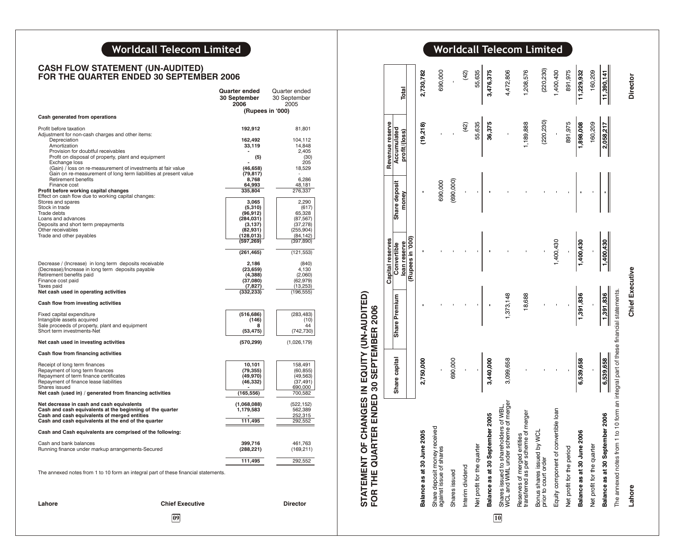### Worldcall Telecom Limited

### **CASH FLOW STATEMENT (UN-AUDITED) FOR THE QUARTER ENDED 30 SEPTEMBER 2006**

|                                                                                                                                                                | Quarter ended<br>30 September<br>2006 | Quarter ended<br>30 September<br>2005 |
|----------------------------------------------------------------------------------------------------------------------------------------------------------------|---------------------------------------|---------------------------------------|
| Cash generated from operations                                                                                                                                 | (Rupees in '000)                      |                                       |
|                                                                                                                                                                |                                       |                                       |
| Profit before taxation<br>Adjustment for non-cash charges and other items:<br>Depreciation                                                                     | 192,912<br>162,492                    | 81,801<br>104,112                     |
| Amortization<br>Provision for doubtful receivables                                                                                                             | 33,119                                | 14,848<br>2,405                       |
| Profit on disposal of property, plant and equipment<br>Exchange loss                                                                                           | (5)                                   | (30)<br>205                           |
| (Gain) / loss on re-measurement of investments at fair value<br>Gain on re-measurement of long term liabilities at present value<br><b>Retirement benefits</b> | (46, 658)<br>(79, 817)<br>8,768       | 18,529<br>6,286                       |
| Finance cost                                                                                                                                                   | 64,993                                | 48,181                                |
| Profit before working capital changes<br>Effect on cash flow due to working capital changes:                                                                   | 335,804                               | 276,337                               |
| Stores and spares<br>Stock in trade                                                                                                                            | 3,065                                 | 2,290                                 |
| Trade debts                                                                                                                                                    | (5, 310)<br>(96, 912)                 | (617)<br>65,328                       |
| Loans and advances                                                                                                                                             | (284, 031)                            | (87, 567)                             |
| Deposits and short term prepayments<br>Other receivables                                                                                                       | (3, 137)<br>(82, 931)                 | (37, 278)<br>(255, 904)               |
| Trade and other payables                                                                                                                                       | (128, 013)<br>(597, 269)              | (84, 142)<br>(397, 890)               |
|                                                                                                                                                                | (261, 465)                            | (121, 553)                            |
| Decrease / (Increase) in long term deposits receivable<br>(Decrease)/Increase in long term deposits payable                                                    | 2,186<br>(23, 659)                    | (840)<br>4,130                        |
| Retirement benefits paid                                                                                                                                       | (4, 388)                              | (2,060)                               |
| Finance cost paid                                                                                                                                              | (37,080)                              | (62, 979)                             |
| Taxes paid<br>Net cash used in operating activities                                                                                                            | (7, 827)<br>(332, 233)                | (13, 253)<br>(196, 555)               |
| Cash flow from investing activities                                                                                                                            |                                       |                                       |
| Fixed capital expenditure                                                                                                                                      | (516, 686)                            | (283, 483)                            |
| Intangible assets acquired                                                                                                                                     | (146)<br>R                            | (10)<br>44                            |
| Sale proceeds of property, plant and equipment<br>Short term investments-Net                                                                                   | (53, 475)                             | (742, 730)                            |
| Net cash used in investing activities                                                                                                                          | (570, 299)                            | (1,026,179)                           |
| Cash flow from financing activities                                                                                                                            |                                       |                                       |
| Receipt of long term finances<br>Repayment of long term finances                                                                                               | 10,101<br>(79,355)                    | 158,491<br>(60, 855)                  |
| Repayment of term finance certificates                                                                                                                         | (49,970)                              | (49, 563)                             |
| Repayment of finance lease liabilities                                                                                                                         | (46,332)                              | (37, 491)                             |
| Shares issued<br>Net cash (used in) / generated from financing activities                                                                                      | (165, 556)                            | 690,000<br>700,582                    |
| Net decrease in cash and cash equivalents<br>Cash and cash equivalents at the beginning of the quarter<br>Cash and cash equivalents of merged entities         | (1,068,088)<br>1,179,583              | (522, 152)<br>562,389<br>252,315      |
| Cash and cash equivalents at the end of the quarter                                                                                                            | 111,495                               | 292,552                               |
| Cash and Cash equivalents are comprised of the following:                                                                                                      |                                       |                                       |
| Cash and bank balances<br>Running finance under markup arrangements-Secured                                                                                    | 399,716<br>(288, 221)                 | 461,763<br>(169, 211)                 |
|                                                                                                                                                                | 111,495                               | 292,552                               |
| The annexed notes from 1 to 10 form an integral part of these financial statements.                                                                            |                                       |                                       |
|                                                                                                                                                                |                                       |                                       |
| Lahore<br><b>Chief Executive</b>                                                                                                                               |                                       | Director                              |

**0 9**

Worldcall Telecom Limited

| FOR THE QUARTER ENDED 30 SEPTEMBER 2006                                             |               |                        | Capital reserves            |                        | Revenue reserve              |                 |
|-------------------------------------------------------------------------------------|---------------|------------------------|-----------------------------|------------------------|------------------------------|-----------------|
|                                                                                     | Share capital | Share Premium          | loan reserve<br>Convertible | Share deposit<br>money | Accumulated<br>profit/(loss) | Total           |
|                                                                                     |               |                        | (Rupees in '000)            |                        |                              |                 |
| 2005<br>Balance as at 30 June                                                       | 2,750,000     |                        |                             |                        | (19,218)                     | 2,730,782       |
| Share deposit money received<br>against issue of shares                             |               |                        |                             | 690,000                |                              | 690,000         |
| Shares issued                                                                       | 690,000       |                        |                             | (690,000)              |                              |                 |
| Interim dividend                                                                    |               |                        |                             |                        | (42)                         | (42)            |
| Net profit for the quarter                                                          |               |                        |                             |                        | 55,635                       | 55,635          |
| Balance as at 30 September 2005                                                     | 3,440,000     |                        |                             |                        | 36,375                       | 3,476,375       |
| Shares issued to shareholders of WBL,<br>WCL and WML under scheme of merger         | 3,099,658     | 1,373,148              |                             |                        |                              | 4,472,806       |
| Reserves of merged entities<br>transferred as per scheme of merger                  |               | 18,688                 |                             |                        | 1,189,888                    | 1,208,576       |
| VOL.<br>Bonus shares issued by<br>prior to court order                              |               |                        |                             |                        | (220, 230)                   | (220, 230)      |
| Equity component of convertible loan                                                |               |                        | 1,400,430                   |                        |                              | 1,400,430       |
| Net profit for the period                                                           |               |                        |                             |                        | 891,975                      | 891,975         |
| 2006<br>Balance as at 30 June                                                       | 6,539,658     | 1,391,836              | 1,400,430                   |                        | 1,898,008                    | 11,229,932      |
| Net profit for the quarter                                                          |               |                        |                             |                        | 160,209                      | 160,209         |
| Balance as at 30 September 2006                                                     | 6,539,658     | 1,391,836              | 1,400,430                   |                        | 2,058,217                    | 11,390,141      |
| The annexed notes from 1 to 10 form an integral part of these financial statements. |               |                        |                             |                        |                              |                 |
| Lahore                                                                              |               | <b>Chief Executive</b> |                             |                        |                              | <b>Director</b> |

**1 0**

**STATEMENT OF CHANGES IN EQUITY (UN-AUDITED)**

**STATEMENT OF CHANGES IN EQUITY (UN-AUDITED)<br>FOR THE QUARTER ENDED 30 SEPTEMBER 2006**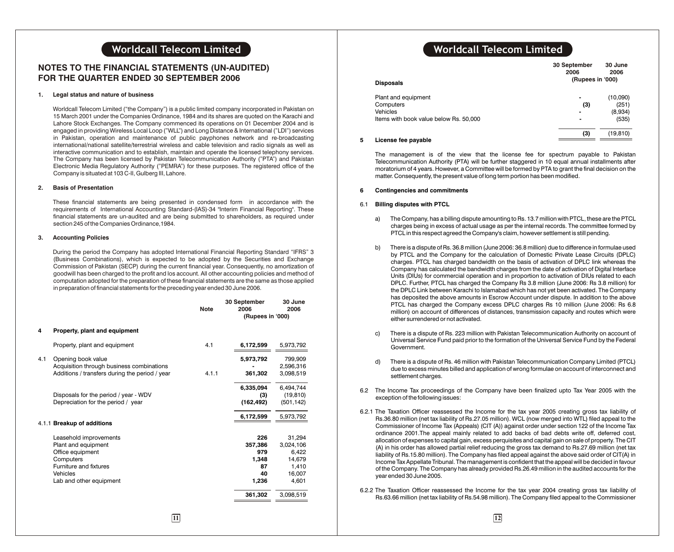### **NOTES TO THE FINANCIAL STATEMENTS (UN-AUDITED) FOR THE QUARTER ENDED 30 SEPTEMBER 2006**

### **1. Legal status and nature of business**

Worldcall Telecom Limited ("the Company") is a public limited company incorporated in Pakistan on 15 March 2001 under the Companies Ordinance, 1984 and its shares are quoted on the Karachi and Lahore Stock Exchanges. The Company commenced its operations on 01 December 2004 and is engaged in providing Wireless Local Loop ("WLL") and Long Distance & International ("LDI") services in Pakistan, operation and maintenance of public payphones network and re-broadcasting international/national satellite/terrestrial wireless and cable television and radio signals as well as interactive communication and to establish, maintain and operate the licensed telephony services. The Company has been licensed by Pakistan Telecommunication Authority ("PTA") and Pakistan Electronic Media Regulatory Authority ("PEMRA") for these purposes. The registered office of the Company is situated at 103 C-II, Gulberg III, Lahore.

### **2. Basis of Presentation**

These financial statements are being presented in condensed form in accordance with the requirements of International Accounting Standard-(IAS)-34 "Interim Financial Reporting". These financial statements are un-audited and are being submitted to shareholders, as required under section 245 of the Companies Ordinance,1984.

### **3. Accounting Policies**

During the period the Company has adopted International Financial Reporting Standard "IFRS" 3 (Business Combinations), which is expected to be adopted by the Securities and Exchange Commission of Pakistan (SECP) during the current financial year. Consequently, no amortization of goodwill has been charged to the profit and los account. All other accounting policies and method of computation adopted for the preparation of these financial statements are the same as those applied in preparation of financial statements for the preceding year ended 30 June 2006.

|     |                                                                                                                                                 | <b>Note</b> | 30 September<br>2006<br>(Rupees in '000)            | 30 June<br>2006                                                    |
|-----|-------------------------------------------------------------------------------------------------------------------------------------------------|-------------|-----------------------------------------------------|--------------------------------------------------------------------|
| 4   | Property, plant and equipment                                                                                                                   |             |                                                     |                                                                    |
|     | Property, plant and equipment                                                                                                                   | 4.1         | 6,172,599                                           | 5,973,792                                                          |
| 4.1 | Opening book value<br>Acquisition through business combinations<br>Additions / transfers during the period / year                               | 4.1.1       | 5,973,792<br>361,302                                | 799.909<br>2,596,316<br>3,098,519                                  |
|     | Disposals for the period / year - WDV<br>Depreciation for the period / year                                                                     |             | 6,335,094<br>(3)<br>(162, 492)                      | 6,494,744<br>(19, 810)<br>(501, 142)                               |
|     | 4.1.1 Breakup of additions                                                                                                                      |             | 6,172,599                                           | 5,973,792                                                          |
|     | Leasehold improvements<br>Plant and equipment<br>Office equipment<br>Computers<br>Furniture and fixtures<br>Vehicles<br>Lab and other equipment |             | 226<br>357,386<br>979<br>1,348<br>87<br>40<br>1,236 | 31,294<br>3,024,106<br>6,422<br>14,679<br>1.410<br>16,007<br>4,601 |
|     |                                                                                                                                                 |             | 361,302                                             | 3,098,519                                                          |
|     |                                                                                                                                                 |             |                                                     |                                                                    |

## **Worldcall Telecom Limited Worldcall Telecom Limited**

| <b>Disposals</b>                                                                       | 30 September<br>2006<br>(Rupees in '000) | 30 June<br>2006              |
|----------------------------------------------------------------------------------------|------------------------------------------|------------------------------|
| Plant and equipment<br>Computers<br>Vehicles<br>Items with book value below Rs. 50,000 | $\blacksquare$<br>(3)<br>$\blacksquare$  | (10,090)<br>(251)<br>(8,934) |
| License fee navable                                                                    | (3)                                      | (535)<br>(19, 810)           |

### **5 License fee payable**

The management is of the view that the license fee for spectrum payable to Pakistan Telecommunication Authority (PTA) will be further staggered in 10 equal annual installments after moratorium of 4 years. However, a Committee will be formed by PTA to grant the final decision on the matter. Consequently, the present value of long term portion has been modified.

### **6 Contingencies and commitments**

### 6.1 **Billing disputes with PTCL**

- a) The Company, has a billing dispute amounting to Rs. 13.7 million with PTCL, these are the PTCL charges being in excess of actual usage as per the internal records. The committee formed by PTCL in this respect agreed the Company's claim, however settlement is still pending.
- b) There is a dispute of Rs. 36.8 million (June 2006: 36.8 million) due to difference in formulae used by PTCL and the Company for the calculation of Domestic Private Lease Circuits (DPLC) charges. PTCL has charged bandwidth on the basis of activation of DPLC link whereas the Company has calculated the bandwidth charges from the date of activation of Digital Interface Units (DIUs) for commercial operation and in proportion to activation of DIUs related to each DPLC. Further, PTCL has charged the Company Rs 3.8 million (June 2006: Rs 3.8 million) for the DPLC Link between Karachi to Islamabad which has not yet been activated. The Company has deposited the above amounts in Escrow Account under dispute. In addition to the above PTCL has charged the Company excess DPLC charges Rs 10 million (June 2006: Rs 6.8 million) on account of differences of distances, transmission capacity and routes which were either surrendered or not activated.
- c) There is a dispute of Rs. 223 million with Pakistan Telecommunication Authority on account of Universal Service Fund paid prior to the formation of the Universal Service Fund by the Federal Government.
- d) There is a dispute of Rs. 46 million with Pakistan Telecommunication Company Limited (PTCL) due to excess minutes billed and application of wrong formulae on account of interconnect and settlement charges.
- 6.2 The Income Tax proceedings of the Company have been finalized upto Tax Year 2005 with the exception of the following issues:
- 6.2.1 The Taxation Officer reassessed the Income for the tax year 2005 creating gross tax liability of Rs.36.80 million (net tax liability of Rs.27.05 million). WCL (now merged into WTL) filed appeal to the Commissioner of Income Tax (Appeals) (CIT (A)) against order under section 122 of the Income Tax ordinance 2001.The appeal mainly related to add backs of bad debts write off, deferred cost, allocation of expenses to capital gain, excess perquisites and capital gain on sale of property. The CIT (A) in his order has allowed partial relief reducing the gross tax demand to Rs.27.69 million (net tax liability of Rs.15.80 million). The Company has filed appeal against the above said order of CIT(A) in Income Tax Appellate Tribunal. The management is confident that the appeal will be decided in favour of the Company. The Company has already provided Rs.26.49 million in the audited accounts for the year ended 30 June 2005.
- 6.2.2 The Taxation Officer reassessed the Income for the tax year 2004 creating gross tax liability of Rs.63.66 million (net tax liability of Rs.54.98 million). The Company filed appeal to the Commissioner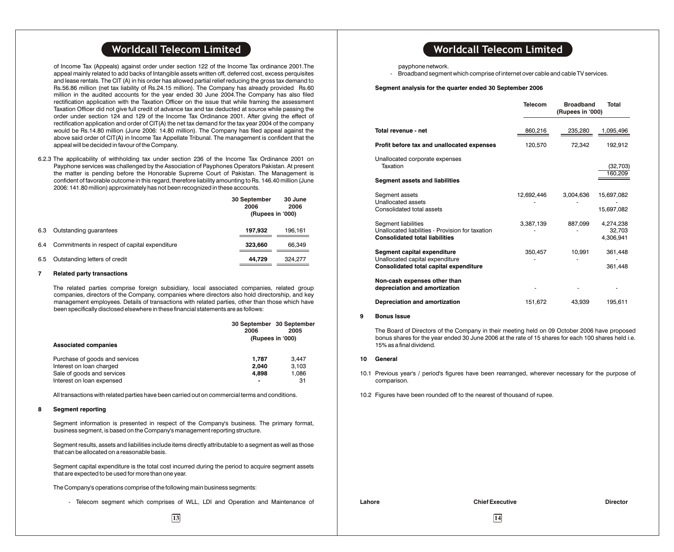of Income Tax (Appeals) against order under section 122 of the Income Tax ordinance 2001.The appeal mainly related to add backs of Intangible assets written off, deferred cost, excess perquisites and lease rentals. The CIT (A) in his order has allowed partial relief reducing the gross tax demand to Rs.56.86 million (net tax liability of Rs.24.15 million). The Company has already provided Rs.60 million in the audited accounts for the year ended 30 June 2004.The Company has also filed rectification application with the Taxation Officer on the issue that while framing the assessment Taxation Officer did not give full credit of advance tax and tax deducted at source while passing the order under section 124 and 129 of the Income Tax Ordinance 2001. After giving the effect of rectification application and order of CIT(A) the net tax demand for the tax year 2004 of the company would be Rs.14.80 million (June 2006: 14.80 million). The Company has filed appeal against the above said order of CIT(A) in Income Tax Appellate Tribunal. The management is confident that the appeal will be decided in favour of the Company.

6.2.3 The applicability of withholding tax under section 236 of the Income Tax Ordinance 2001 on Payphone services was challenged by the Association of Payphones Operators Pakistan. At present the matter is pending before the Honorable Supreme Court of Pakistan. The Management is confident of favorable outcome in this regard, therefore liability amounting to Rs. 146.40 million (June 2006: 141.80 million) approximately has not been recognized in these accounts.

|     |                                               | 30 September<br>2006<br>(Rupees in '000) | 30 June<br>2006 |
|-----|-----------------------------------------------|------------------------------------------|-----------------|
| 6.3 | Outstanding quarantees                        | 197.932                                  | 196.161         |
| 6.4 | Commitments in respect of capital expenditure | 323.660                                  | 66.349          |
| 6.5 | Outstanding letters of credit                 | 44.729                                   | 324.277         |

### **7 Related party transactions**

The related parties comprise foreign subsidiary, local associated companies, related group companies, directors of the Company, companies where directors also hold directorship, and key management employees. Details of transactions with related parties, other than those which have been specifically disclosed elsewhere in these financial statements are as follows:

| <b>Associated companies</b>    | 30 September 30 September<br>2006 | 2005<br>(Rupees in '000) |
|--------------------------------|-----------------------------------|--------------------------|
| Purchase of goods and services | 1.787                             | 3.447                    |
| Interest on loan charged       | 2.040                             | 3.103                    |
| Sale of goods and services     | 4.898                             | 1.086                    |
| Interest on loan expensed      | -                                 | 31                       |

All transactions with related parties have been carried out on commercial terms and conditions.

### **8 Segment reporting**

Segment information is presented in respect of the Company's business. The primary format, business segment, is based on the Company's management reporting structure.

Segment results, assets and liabilities include items directly attributable to a segment as well as those that can be allocated on a reasonable basis.

Segment capital expenditure is the total cost incurred during the period to acquire segment assets that are expected to be used for more than one year.

The Company's operations comprise of the following main business segments:

- Telecom segment which comprises of WLL, LDI and Operation and Maintenance of

## **Worldcall Telecom Limited Worldcall Telecom Limited**

payphone network.

Broadband segment which comprise of internet over cable and cable TV services.

**Segment analysis for the quarter ended 30 September 2006**

|                                                                         | Telecom    | <b>Broadband</b><br>(Rupees in '000) | Total                |
|-------------------------------------------------------------------------|------------|--------------------------------------|----------------------|
|                                                                         |            |                                      |                      |
| Total revenue - net                                                     | 860,216    | 235,280                              | 1,095,496            |
| Profit before tax and unallocated expenses                              | 120,570    | 72,342                               | 192,912              |
| Unallocated corporate expenses<br>Taxation                              |            |                                      | (32, 703)<br>160,209 |
| <b>Segment assets and liabilities</b>                                   |            |                                      |                      |
| Segment assets<br>Unallocated assets                                    | 12,692,446 | 3,004,636                            | 15,697,082           |
| Consolidated total assets                                               |            |                                      | 15,697,082           |
| Segment liabilities<br>Unallocated liabilities - Provision for taxation | 3,387,139  | 887,099                              | 4,274,238<br>32,703  |
| <b>Consolidated total liabilities</b>                                   |            |                                      | 4.306.941            |
| Segment capital expenditure<br>Unallocated capital expenditure          | 350.457    | 10.991                               | 361,448              |
| Consolidated total capital expenditure                                  |            |                                      | 361,448              |
| Non-cash expenses other than<br>depreciation and amortization           |            |                                      |                      |
| Depreciation and amortization                                           | 151,672    | 43,939                               | 195,611              |

#### **9 Bonus Issue**

The Board of Directors of the Company in their meeting held on 09 October 2006 have proposed bonus shares for the year ended 30 June 2006 at the rate of 15 shares for each 100 shares held i.e. 15% as a final dividend.

#### **10 General**

- 10.1 Previous year's / period's figures have been rearranged, wherever necessary for the purpose of comparison.
- 10.2 Figures have been rounded off to the nearest of thousand of rupee.

**Lahore Chief Executive Director Director**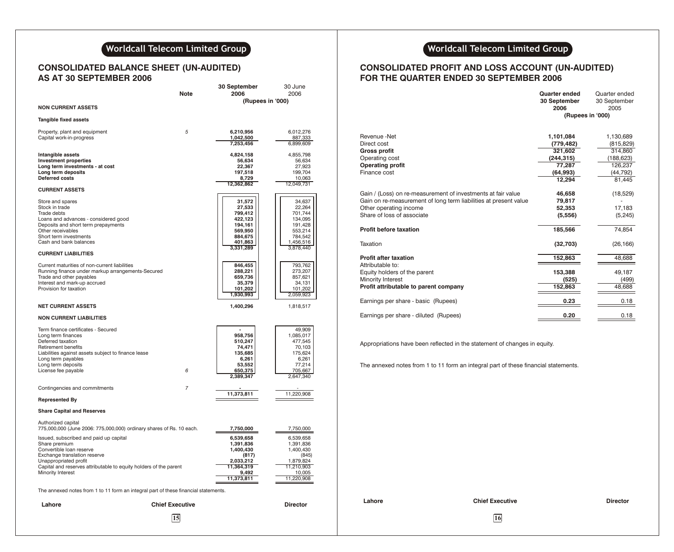### **CONSOLIDATED BALANCE SHEET (UN-AUDITED) AS AT 30 SEPTEMBER 2006**

|                                                                                                                                                                                                                                        | Note                   | 30 September<br>2006                                                                            | 30 June<br>2006                                                                                   |                                                                                                                                                             |                   |
|----------------------------------------------------------------------------------------------------------------------------------------------------------------------------------------------------------------------------------------|------------------------|-------------------------------------------------------------------------------------------------|---------------------------------------------------------------------------------------------------|-------------------------------------------------------------------------------------------------------------------------------------------------------------|-------------------|
| <b>NON CURRENT ASSETS</b>                                                                                                                                                                                                              |                        | (Rupees in '000)                                                                                |                                                                                                   |                                                                                                                                                             |                   |
| <b>Tangible fixed assets</b>                                                                                                                                                                                                           |                        |                                                                                                 |                                                                                                   |                                                                                                                                                             |                   |
| Property, plant and equipment<br>Capital work-in-progress                                                                                                                                                                              | 5                      | 6,210,956<br>1,042,500<br>7,253,456                                                             | 6,012,276<br>887,333<br>6,899,609                                                                 | Revenue -Net<br>Direct cost                                                                                                                                 |                   |
| Intangible assets<br><b>Investment properties</b><br>Long term investments - at cost<br>Long term deposits<br>Deferred costs                                                                                                           |                        | 4,824,158<br>56,634<br>22,367<br>197,518<br>8,729                                               | 4,855,798<br>56,634<br>27,923<br>199,704<br>10,063                                                | <b>Gross profit</b><br>Operating cost<br><b>Operating profit</b><br>Finance cost                                                                            |                   |
| <b>CURRENT ASSETS</b>                                                                                                                                                                                                                  |                        | 12,362,862                                                                                      | 12,049,731                                                                                        | Gain / (Loss) on re-measurement of investments at fa                                                                                                        |                   |
| Store and spares<br>Stock in trade<br>Trade debts<br>Loans and advances - considered good<br>Deposits and short term prepayments<br>Other receivables<br>Short term investments<br>Cash and bank balances                              |                        | 31,572<br>27,533<br>799,412<br>422,123<br>194,161<br>569,950<br>884,675<br>401,863<br>3,331,289 | 34,637<br>22,264<br>701,744<br>134,095<br>191,428<br>553,214<br>784,542<br>1,456,516<br>3,878,440 | Gain on re-measurement of long term liabilities at pre<br>Other operating income<br>Share of loss of associate<br><b>Profit before taxation</b><br>Taxation |                   |
| <b>CURRENT LIABILITIES</b>                                                                                                                                                                                                             |                        |                                                                                                 |                                                                                                   | <b>Profit after taxation</b>                                                                                                                                |                   |
| Current maturities of non-current liabilities<br>Running finance under markup arrangements-Secured<br>Trade and other payables<br>Interest and mark-up accrued<br>Provision for taxation                                               |                        | 846,455<br>288,221<br>659,736<br>35,379<br>101,202<br>1,930,993                                 | 793,762<br>273,207<br>857,621<br>34,131<br>101,202<br>2,059,923                                   | Attributable to:<br>Equity holders of the parent<br>Minority Interest<br>Profit attributable to parent company                                              |                   |
| <b>NET CURRENT ASSETS</b>                                                                                                                                                                                                              |                        | 1,400,296                                                                                       | 1,818,517                                                                                         | Earnings per share - basic (Rupees)                                                                                                                         |                   |
| <b>NON CURRENT LIABILITIES</b>                                                                                                                                                                                                         |                        |                                                                                                 |                                                                                                   | Earnings per share - diluted (Rupees)                                                                                                                       |                   |
| Term finance certificates - Secured<br>Long term finances<br>Deferred taxation<br>Retirement benefits<br>Liabilities against assets subject to finance lease<br>Long term payables<br>Long term deposits<br>License fee payable        | 6                      | 958,756<br>510,247<br>74,471<br>135,685<br>6,261<br>53,552<br>650,375<br>2,389,347              | 49,909<br>1,085,017<br>477,545<br>70,103<br>175,624<br>6,261<br>77,214<br>705,667<br>2,647,340    | Appropriations have been reflected in the statement of<br>The annexed notes from 1 to 11 form an integral part                                              |                   |
| Contingencies and commitments                                                                                                                                                                                                          | $\overline{7}$         |                                                                                                 |                                                                                                   |                                                                                                                                                             |                   |
| <b>Represented By</b>                                                                                                                                                                                                                  |                        | 11,373,811                                                                                      | 11,220,908                                                                                        |                                                                                                                                                             |                   |
| <b>Share Capital and Reserves</b>                                                                                                                                                                                                      |                        |                                                                                                 |                                                                                                   |                                                                                                                                                             |                   |
| Authorized capital<br>775,000,000 (June 2006: 775,000,000) ordinary shares of Rs. 10 each.                                                                                                                                             |                        | 7,750,000                                                                                       | 7,750,000                                                                                         |                                                                                                                                                             |                   |
| Issued, subscribed and paid up capital<br>Share premium<br>Convertible loan reserve<br>Exchange translation reserve<br>Unappropriated profit<br>Capital and reserves attributable to equity holders of the parent<br>Minority Interest |                        | 6,539,658<br>1,391,836<br>1,400,430<br>(817)<br>2,033,212<br>11,364,319<br>9,492<br>11,373,811  | 6,539,658<br>1,391,836<br>1,400,430<br>(845)<br>1,879,824<br>11,210,903<br>10,005<br>11,220,908   |                                                                                                                                                             |                   |
| The annexed notes from 1 to 11 form an integral part of these financial statements.                                                                                                                                                    |                        |                                                                                                 |                                                                                                   |                                                                                                                                                             |                   |
| Lahore                                                                                                                                                                                                                                 | <b>Chief Executive</b> |                                                                                                 | <b>Director</b>                                                                                   | Lahore                                                                                                                                                      | <b>Chief Exer</b> |
|                                                                                                                                                                                                                                        | 15                     |                                                                                                 |                                                                                                   |                                                                                                                                                             | 16                |

## **Worldcall Telecom Limited Group Contained <b>Example 2 Worldcall Telecom Limited Group**

### **CONSOLIDATED PROFIT AND LOSS ACCOUNT (UN-AUDITED) FOR THE QUARTER ENDED 30 SEPTEMBER 2006**

|                                                                                                                                                                                          | <b>Quarter ended</b><br>30 September<br>2006                                      | Quarter ended<br>30 September<br>2005                                             |
|------------------------------------------------------------------------------------------------------------------------------------------------------------------------------------------|-----------------------------------------------------------------------------------|-----------------------------------------------------------------------------------|
|                                                                                                                                                                                          | (Rupees in '000)                                                                  |                                                                                   |
| Revenue -Net<br>Direct cost<br><b>Gross profit</b><br>Operating cost<br><b>Operating profit</b><br>Finance cost                                                                          | 1,101,084<br>(779, 482)<br>321,602<br>(244, 315)<br>77,287<br>(64, 993)<br>12,294 | 1,130,689<br>(815, 829)<br>314,860<br>(188,623)<br>126,237<br>(44, 792)<br>81,445 |
| Gain / (Loss) on re-measurement of investments at fair value<br>Gain on re-measurement of long term liabilities at present value<br>Other operating income<br>Share of loss of associate | 46,658<br>79,817<br>52,353<br>(5,556)                                             | (18, 529)<br>17,183<br>(5, 245)                                                   |
| <b>Profit before taxation</b>                                                                                                                                                            | 185,566                                                                           | 74,854                                                                            |
| Taxation                                                                                                                                                                                 | (32,703)                                                                          | (26, 166)                                                                         |
| <b>Profit after taxation</b>                                                                                                                                                             | 152,863                                                                           | 48,688                                                                            |
| Attributable to:<br>Equity holders of the parent<br>Minority Interest<br>Profit attributable to parent company                                                                           | 153,388<br>(525)<br>152,863                                                       | 49,187<br>(499)<br>48,688                                                         |
| Earnings per share - basic (Rupees)                                                                                                                                                      | 0.23                                                                              | 0.18                                                                              |
| Earnings per share - diluted (Rupees)                                                                                                                                                    | 0.20                                                                              | 0.18                                                                              |

Appropriations have been reflected in the statement of changes in equity.

The annexed notes from 1 to 11 form an integral part of these financial statements.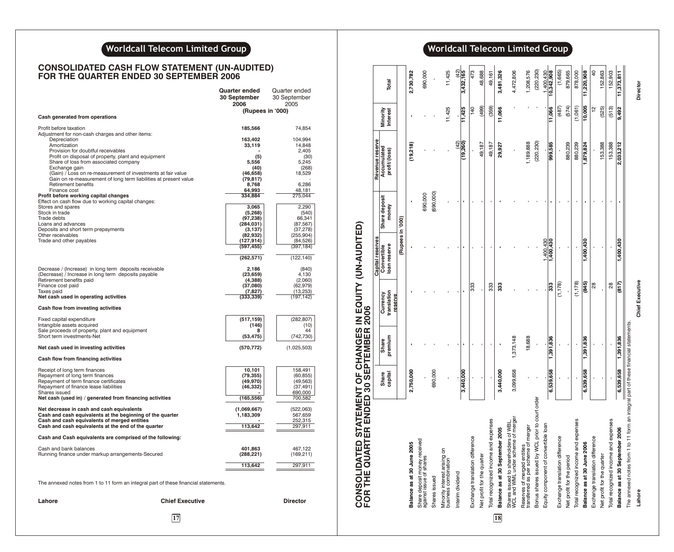## **Worldcall Telecom Limited Group**<br> **Consumer Advantagement of** *Limited Group* **Consumer Advantagement of** *Limited Group*

### **CONSOLIDATED CASH FLOW STATEMENT (UN-AUDITED) FOR THE QUARTER ENDED 30 SEPTEMBER 2006**

|                                                                                                           |                        | Quarter ended<br>30 September<br>2006 | Quarter ended<br>30 September<br>2005 |
|-----------------------------------------------------------------------------------------------------------|------------------------|---------------------------------------|---------------------------------------|
| Cash generated from operations                                                                            |                        | (Rupees in '000)                      |                                       |
|                                                                                                           |                        |                                       |                                       |
| Profit before taxation<br>Adjustment for non-cash charges and other items:<br>Depreciation                |                        | 185,566<br>163,402                    | 74,854<br>104,994                     |
| Amortization                                                                                              |                        | 33,119                                | 14,848                                |
| Provision for doubtful receivables                                                                        |                        |                                       | 2,405                                 |
| Profit on disposal of property, plant and equipment<br>Share of loss from associated company              |                        | (5)<br>5,556                          | (30)<br>5.245                         |
| Exchange gain                                                                                             |                        | (40)                                  | (268)                                 |
| (Gain) / Loss on re-measurement of investments at fair value                                              |                        | (46, 658)                             | 18,529                                |
| Gain on re-measurement of long term liabilities at present value<br>Retirement benefits                   |                        | (79, 817)<br>8,768                    | 6,286                                 |
| Finance cost                                                                                              |                        | 64,993                                | 48,181                                |
| Profit before working capital changes                                                                     |                        | 334,884                               | 275,044                               |
| Effect on cash flow due to working capital changes:<br>Stores and spares                                  |                        | 3,065                                 | 2,290                                 |
| Stock in trade                                                                                            |                        | (5,268)                               | (540)                                 |
| Trade debts                                                                                               |                        | (97, 238)                             | 66,341                                |
| Loans and advances<br>Deposits and short term prepayments                                                 |                        | (284, 031)<br>(3, 137)                | (87, 567)<br>(37, 278)                |
| Other receivables                                                                                         |                        | (82,932)                              | (255, 904)                            |
| Trade and other payables                                                                                  |                        | (127,914)                             | (84, 526)                             |
|                                                                                                           |                        | (597, 455)                            | (397, 184)                            |
|                                                                                                           |                        | (262, 571)                            | (122, 140)                            |
| Decrease / (Increase) in long term deposits receivable                                                    |                        | 2,186                                 | (840)                                 |
| (Decrease) / Increase in long term deposits payable                                                       |                        | (23, 659)                             | 4,130                                 |
| Retirement benefits paid<br>Finance cost paid                                                             |                        | (4,388)<br>(37,080)                   | (2,060)<br>(62, 979)                  |
| Taxes paid                                                                                                |                        | (7, 827)                              | (13, 253)                             |
| Net cash used in operating activities                                                                     |                        | (333, 339)                            | (197, 142)                            |
| Cash flow from investing activities                                                                       |                        |                                       |                                       |
| Fixed capital expenditure                                                                                 |                        | (517, 159)                            | (282, 807)                            |
| Intangible assets acquired<br>Sale proceeds of property, plant and equipment                              |                        | (146)<br>8                            | (10)<br>44                            |
| Short term investments-Net                                                                                |                        | (53, 475)                             | (742, 730)                            |
| Net cash used in investing activities                                                                     |                        | (570, 772)                            | (1,025,503)                           |
| Cash flow from financing activities                                                                       |                        |                                       |                                       |
| Receipt of long term finances                                                                             |                        | 10,101                                | 158,491                               |
| Repayment of long term finances                                                                           |                        | (79,355)                              | (60, 855)                             |
| Repayment of term finance certificates<br>Repayment of finance lease liabilities                          |                        | (49,970)<br>(46,332)                  | (49,563)<br>(37, 491)                 |
| Shares issued                                                                                             |                        |                                       | 690,000                               |
| Net cash (used in) / generated from financing activities                                                  |                        | (165, 556)                            | 700,582                               |
| Net decrease in cash and cash equivalents                                                                 |                        | (1,069,667)                           | (522,063)                             |
| Cash and cash equivalents at the beginning of the quarter<br>Cash and cash equivalents of merged entities |                        | 1,183,309                             | 567,659<br>252,315                    |
| Cash and cash equivalents at the end of the quarter                                                       |                        | 113.642                               | 297,911                               |
| Cash and Cash equivalents are comprised of the following:                                                 |                        |                                       |                                       |
| Cash and bank balances                                                                                    |                        | 401,863                               | 467,122                               |
| Running finance under markup arrangements-Secured                                                         |                        | (288,221)                             | (169, 211)                            |
|                                                                                                           |                        | 113,642                               | 297,911                               |
| The annexed notes from 1 to 11 form an integral part of these financial statements.                       |                        |                                       |                                       |
| Lahore                                                                                                    | <b>Chief Executive</b> |                                       | <b>Director</b>                       |

**17 18**

| CONSOLIDATED STATEMENT OF CHANGES IN EQUITY (UN-AUDITED)<br>FOR THE QUARTER ENDED 30 SEPTEMBER 2006 |                  |                  |                                    |                             |                        |                              |                             |                          |
|-----------------------------------------------------------------------------------------------------|------------------|------------------|------------------------------------|-----------------------------|------------------------|------------------------------|-----------------------------|--------------------------|
|                                                                                                     |                  |                  |                                    | Capital reserves            |                        | Revenue reserve              |                             |                          |
|                                                                                                     | capital<br>Share | premium<br>Share | translation<br>Currency<br>reserve | loan reserve<br>Convertible | Share deposit<br>money | Accumulated<br>profit/(loss) | <b>Interest</b><br>Minority | Total                    |
|                                                                                                     |                  |                  |                                    | (D00, ul seedng)            |                        |                              |                             |                          |
| Balance as at 30 June 2005                                                                          | 2,750,000        |                  |                                    |                             |                        | (19,218)                     |                             | 2,730,782                |
| Share deposit money received<br>against issue of shares                                             |                  |                  |                                    |                             | 690,000                |                              |                             | 890,000                  |
| Shares issued                                                                                       | 690,000          |                  |                                    |                             | (690,000)              |                              |                             |                          |
| Minority interest arising on<br>business combination                                                |                  |                  |                                    |                             |                        |                              | 11,425                      | 11,425                   |
| Interim dividend                                                                                    | 3,440,000        |                  |                                    |                             |                        | (42)<br>(19, 260)            | 11,425                      | $\frac{(42)}{3,432,165}$ |
| Exchange translation difference                                                                     |                  |                  | 333                                |                             |                        |                              | 140                         | 473                      |
| Net profit for the quarter                                                                          |                  |                  |                                    |                             |                        | 49,187                       | (499)                       | 48,688                   |
| Total recognized income and expenses                                                                |                  |                  | 333                                |                             |                        | 49,187                       | (359)                       | 49,161                   |
| Balance as at 30 September 2005                                                                     | 3,440,000        |                  | 33                                 |                             |                        | 29,927                       | 11,066                      | 3,481,326                |
| Shares issued to shareholders of WBL,<br>WCL and WML under scheme of merger                         | 3,099,658        | 1,373,148        |                                    |                             |                        |                              |                             | 4,472,806                |
| transferred as per scheme of merger<br>Reserves of merged entities                                  |                  | 18,688           |                                    |                             |                        | 1,189,888                    |                             | 1,208,576                |
| Bonus shares issued by WCL prior to court order                                                     |                  |                  |                                    |                             |                        | (220, 230)                   |                             | (220, 230)               |
| Equity component of convertible loan                                                                |                  |                  |                                    | 1,400,430                   |                        |                              |                             | 1,400,430                |
|                                                                                                     | 6,539,658        | 1,391,836        | န္ကြ                               | 1,400,430                   |                        | 999,585                      | 11,066                      | 10,342,908               |
| Exchange translation difference                                                                     |                  |                  | (1, 178)                           |                             |                        |                              | (487)                       | (1,665)                  |
| Net profit for the period                                                                           |                  |                  |                                    |                             |                        | 880,239                      | (574)                       | 879,665                  |
| Total recognized income and expenses                                                                |                  |                  | (1, 178)                           |                             |                        | 880,239                      | (1,061)                     | 878,000                  |
| Balance as at 30 June 2006                                                                          | 6,539,658        | 1,391,836        | (845)                              | 1,400,430                   |                        | 1,879,824                    | $\frac{10,005}{5}$          | 11,220,908               |
| Exchange translation difference                                                                     |                  |                  | 28                                 |                             |                        |                              | 얻                           | $\overline{a}$           |
| Net profit for the quarter                                                                          |                  |                  |                                    |                             |                        | 153,388                      | (525)                       | 152,863                  |
| Total recognized income and expenses                                                                |                  |                  | 28                                 |                             |                        | 153,388                      | (513)                       | 152,903                  |
| Balance as at 30 September 2006                                                                     | 6,539,658        | 1,391,836        | (817)                              | 1,400,430                   |                        | 2,033,212                    | 9,492                       | 11,373,811               |
| The annexed notes from 1 to 11 form an integral part of these financial statements.                 |                  |                  |                                    |                             |                        |                              |                             |                          |
| Lahore                                                                                              |                  |                  | <b>Chief Executive</b>             |                             |                        |                              |                             | Director                 |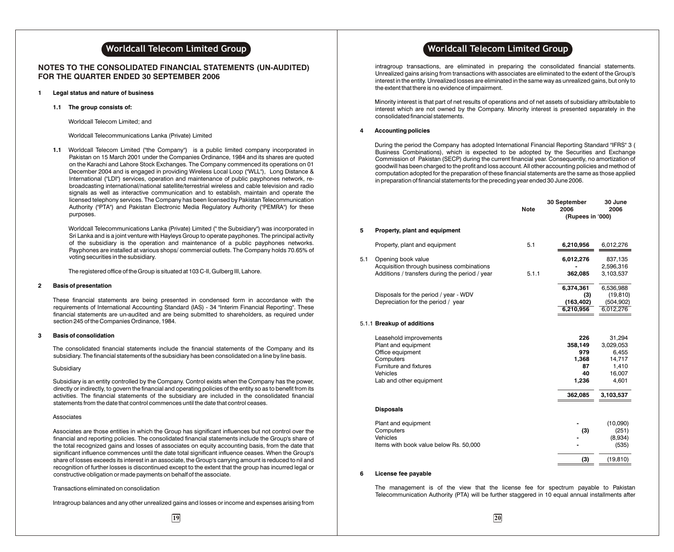### **NOTES TO THE CONSOLIDATED FINANCIAL STATEMENTS (UN-AUDITED) FOR THE QUARTER ENDED 30 SEPTEMBER 2006**

### **1 Legal status and nature of business**

**1.1 The group consists of:**

Worldcall Telecom Limited; and

Worldcall Telecommunications Lanka (Private) Limited

**1.1** Worldcall Telecom Limited ("the Company") is a public limited company incorporated in Pakistan on 15 March 2001 under the Companies Ordinance, 1984 and its shares are quoted on the Karachi and Lahore Stock Exchanges. The Company commenced its operations on 01 December 2004 and is engaged in providing Wireless Local Loop ("WLL"), Long Distance & International ("LDI") services, operation and maintenance of public payphones network, rebroadcasting international/national satellite/terrestrial wireless and cable television and radio signals as well as interactive communication and to establish, maintain and operate the licensed telephony services. The Company has been licensed by Pakistan Telecommunication Authority ("PTA") and Pakistan Electronic Media Regulatory Authority ("PEMRA") for these purposes.

Worldcall Telecommunications Lanka (Private) Limited (" the Subsidiary") was incorporated in Sri Lanka and is a joint venture with Hayleys Group to operate payphones. The principal activity of the subsidiary is the operation and maintenance of a public payphones networks. Payphones are installed at various shops/ commercial outlets. The Company holds 70.65% of voting securities in the subsidiary.

The registered office of the Group is situated at 103 C-II, Gulberg III, Lahore.

#### **2 Basis of presentation**

These financial statements are being presented in condensed form in accordance with the requirements of International Accounting Standard (IAS) - 34 "Interim Financial Reporting". These financial statements are un-audited and are being submitted to shareholders, as required under section 245 of the Companies Ordinance, 1984.

#### **3 Basis of consolidation**

The consolidated financial statements include the financial statements of the Company and its subsidiary. The financial statements of the subsidiary has been consolidated on a line by line basis.

### Subsidiary

Subsidiary is an entity controlled by the Company. Control exists when the Company has the power, directly or indirectly, to govern the financial and operating policies of the entity so as to benefit from its activities. The financial statements of the subsidiary are included in the consolidated financial statements from the date that control commences until the date that control ceases.

#### Associates

Associates are those entities in which the Group has significant influences but not control over the financial and reporting policies. The consolidated financial statements include the Group's share of the total recognized gains and losses of associates on equity accounting basis, from the date that significant influence commences until the date total significant influence ceases. When the Group's share of losses exceeds its interest in an associate, the Group's carrying amount is reduced to nil and recognition of further losses is discontinued except to the extent that the group has incurred legal or constructive obligation or made payments on behalf of the associate.

#### Transactions eliminated on consolidation

Intragroup balances and any other unrealized gains and losses or income and expenses arising from

intragroup transactions, are eliminated in preparing the consolidated financial statements. Unrealized gains arising from transactions with associates are eliminated to the extent of the Group's interest in the entity. Unrealized losses are eliminated in the same way as unrealized gains, but only to the extent that there is no evidence of impairment.

Minority interest is that part of net results of operations and of net assets of subsidiary attributable to interest which are not owned by the Company. Minority interest is presented separately in the consolidated financial statements.

### **4 Accounting policies**

During the period the Company has adopted International Financial Reporting Standard "IFRS" 3 ( Business Combinations), which is expected to be adopted by the Securities and Exchange Commission of Pakistan (SECP) during the current financial year. Consequently, no amortization of goodwill has been charged to the profit and loss account. All other accounting policies and method of computation adopted for the preparation of these financial statements are the same as those applied in preparation of financial statements for the preceding year ended 30 June 2006.

|     |                                                                                                                                                 | <b>Note</b> | 30 September<br>2006<br>(Rupees in '000)            | 30 June<br>2006                                                    |
|-----|-------------------------------------------------------------------------------------------------------------------------------------------------|-------------|-----------------------------------------------------|--------------------------------------------------------------------|
| 5   | Property, plant and equipment                                                                                                                   |             |                                                     |                                                                    |
|     | Property, plant and equipment                                                                                                                   | 5.1         | 6,210,956                                           | 6,012,276                                                          |
| 5.1 | Opening book value<br>Acquisition through business combinations                                                                                 |             | 6,012,276                                           | 837,135<br>2,596,316                                               |
|     | Additions / transfers during the period / year                                                                                                  | 5.1.1       | 362.085                                             | 3,103,537                                                          |
|     | Disposals for the period / year - WDV<br>Depreciation for the period / year                                                                     |             | 6,374,361<br>(3)<br>(163, 402)<br>6,210,956         | 6,536,988<br>(19, 810)<br>(504, 902)<br>6,012,276                  |
|     | 5.1.1 Breakup of additions                                                                                                                      |             |                                                     |                                                                    |
|     | Leasehold improvements<br>Plant and equipment<br>Office equipment<br>Computers<br>Furniture and fixtures<br>Vehicles<br>Lab and other equipment |             | 226<br>358,149<br>979<br>1,368<br>87<br>40<br>1,236 | 31,294<br>3,029,053<br>6,455<br>14,717<br>1,410<br>16,007<br>4,601 |
|     |                                                                                                                                                 |             | 362,085                                             | 3,103,537                                                          |
|     | <b>Disposals</b>                                                                                                                                |             |                                                     |                                                                    |
|     | Plant and equipment<br>Computers<br>Vehicles<br>Items with book value below Rs. 50,000                                                          |             | (3)                                                 | (10,090)<br>(251)<br>(8,934)<br>(535)                              |
|     |                                                                                                                                                 |             | (3)                                                 | (19, 810)                                                          |
|     |                                                                                                                                                 |             |                                                     |                                                                    |

#### **6 License fee payable**

The management is of the view that the license fee for spectrum payable to Pakistan Telecommunication Authority (PTA) will be further staggered in 10 equal annual installments after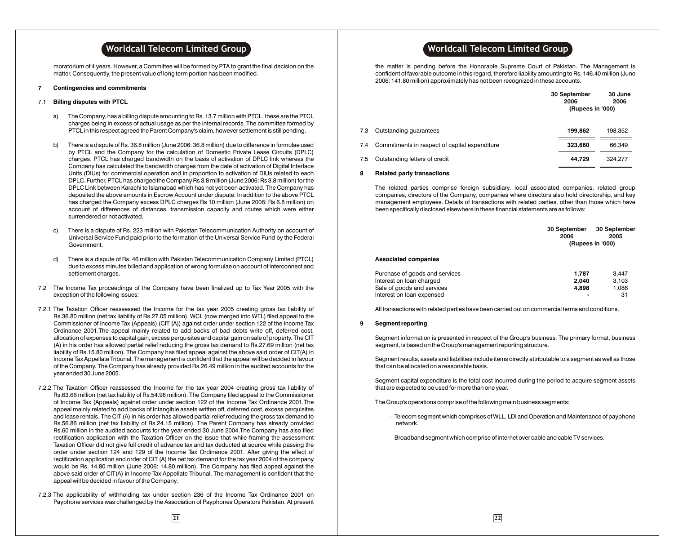moratorium of 4 years. However, a Committee will be formed by PTA to grant the final decision on the matter. Consequently, the present value of long term portion has been modified.

#### **7 Contingencies and commitments**

### 7.1 **Billing disputes with PTCL**

- a) The Company, has a billing dispute amounting to Rs. 13.7 million with PTCL, these are the PTCL charges being in excess of actual usage as per the internal records. The committee formed by PTCL in this respect agreed the Parent Company's claim, however settlement is still pending.
- b) There is a dispute of Rs. 36.8 million (June 2006: 36.8 million) due to difference in formulae used by PTCL and the Company for the calculation of Domestic Private Lease Circuits (DPLC) charges. PTCL has charged bandwidth on the basis of activation of DPLC link whereas the Company has calculated the bandwidth charges from the date of activation of Digital Interface Units (DIUs) for commercial operation and in proportion to activation of DIUs related to each DPLC. Further, PTCL has charged the Company Rs 3.8 million (June 2006: Rs 3.8 million) for the DPLC Link between Karachi to Islamabad which has not yet been activated. The Company has deposited the above amounts in Escrow Account under dispute. In addition to the above PTCL has charged the Company excess DPLC charges Rs 10 million (June 2006: Rs 6.8 million) on account of differences of distances, transmission capacity and routes which were either surrendered or not activated.
- c) There is a dispute of Rs. 223 million with Pakistan Telecommunication Authority on account of Universal Service Fund paid prior to the formation of the Universal Service Fund by the Federal Government.
- d) There is a dispute of Rs. 46 million with Pakistan Telecommunication Company Limited (PTCL) due to excess minutes billed and application of wrong formulae on account of interconnect and settlement charges.
- 7.2 The Income Tax proceedings of the Company have been finalized up to Tax Year 2005 with the exception of the following issues:
- 7.2.1 The Taxation Officer reassessed the Income for the tax year 2005 creating gross tax liability of Rs.36.80 million (net tax liability of Rs.27.05 million). WCL (now merged into WTL) filed appeal to the Commissioner of Income Tax (Appeals) (CIT (A)) against order under section 122 of the Income Tax Ordinance 2001.The appeal mainly related to add backs of bad debts write off, deferred cost, allocation of expenses to capital gain, excess perquisites and capital gain on sale of property. The CIT (A) in his order has allowed partial relief reducing the gross tax demand to Rs.27.69 million (net tax liability of Rs.15.80 million). The Company has filed appeal against the above said order of CIT(A) in Income Tax Appellate Tribunal. The management is confident that the appeal will be decided in favour of the Company. The Company has already provided Rs.26.49 million in the audited accounts for the year ended 30 June 2005.
- 7.2.2 The Taxation Officer reassessed the Income for the tax year 2004 creating gross tax liability of Rs.63.66 million (net tax liability of Rs.54.98 million). The Company filed appeal to the Commissioner of Income Tax (Appeals) against order under section 122 of the Income Tax Ordinance 2001.The appeal mainly related to add backs of Intangible assets written off, deferred cost, excess perquisites and lease rentals. The CIT (A) in his order has allowed partial relief reducing the gross tax demand to Rs.56.86 million (net tax liability of Rs.24.15 million). The Parent Company has already provided Rs.60 million in the audited accounts for the year ended 30 June 2004.The Company has also filed rectification application with the Taxation Officer on the issue that while framing the assessment Taxation Officer did not give full credit of advance tax and tax deducted at source while passing the order under section 124 and 129 of the Income Tax Ordinance 2001. After giving the effect of rectification application and order of CIT (A) the net tax demand for the tax year 2004 of the company would be Rs. 14.80 million (June 2006: 14.80 million). The Company has filed appeal against the above said order of CIT(A) in Income Tax Appellate Tribunal. The management is confident that the appeal will be decided in favour of the Company.
- 7.2.3 The applicability of withholding tax under section 236 of the Income Tax Ordinance 2001 on Payphone services was challenged by the Association of Payphones Operators Pakistan. At present

### **Worldcall Telecom Limited Group Worldcall Telecom Limited Group**

the matter is pending before the Honorable Supreme Court of Pakistan. The Management is confident of favorable outcome in this regard, therefore liability amounting to Rs. 146.40 million (June 2006: 141.80 million) approximately has not been recognized in these accounts.

|     |                                               | 30 September<br>2006<br>(Rupees in '000) | 30 June<br>2006 |
|-----|-----------------------------------------------|------------------------------------------|-----------------|
| 7.3 | Outstanding quarantees                        | 199,862                                  | 198.352         |
| 7.4 | Commitments in respect of capital expenditure | 323,660                                  | 66,349          |
| 7.5 | Outstanding letters of credit                 | 44,729                                   | 324,277         |

#### **8 Related party transactions**

The related parties comprise foreign subsidiary, local associated companies, related group companies, directors of the Company, companies where directors also hold directorship, and key management employees. Details of transactions with related parties, other than those which have been specifically disclosed elsewhere in these financial statements are as follows:

|                                | 30 September<br>2006 | 30 September<br>2005<br>(Rupees in '000) |
|--------------------------------|----------------------|------------------------------------------|
| <b>Associated companies</b>    |                      |                                          |
| Purchase of goods and services | 1.787                | 3.447                                    |
| Interest on loan charged       | 2.040                | 3.103                                    |
| Sale of goods and services     | 4.898                | 1.086                                    |
| Interest on loan expensed      |                      | 31                                       |

All transactions with related parties have been carried out on commercial terms and conditions.

### **9 Segment reporting**

Segment information is presented in respect of the Group's business. The primary format, business segment, is based on the Group's management reporting structure.

Segment results, assets and liabilities include items directly attributable to a segment as well as those that can be allocated on a reasonable basis.

Segment capital expenditure is the total cost incurred during the period to acquire segment assets that are expected to be used for more than one year.

The Group's operations comprise of the following main business segments:

- Telecom segment which comprises of WLL, LDI and Operation and Maintenance of payphone network.
- Broadband segment which comprise of internet over cable and cable TV services.